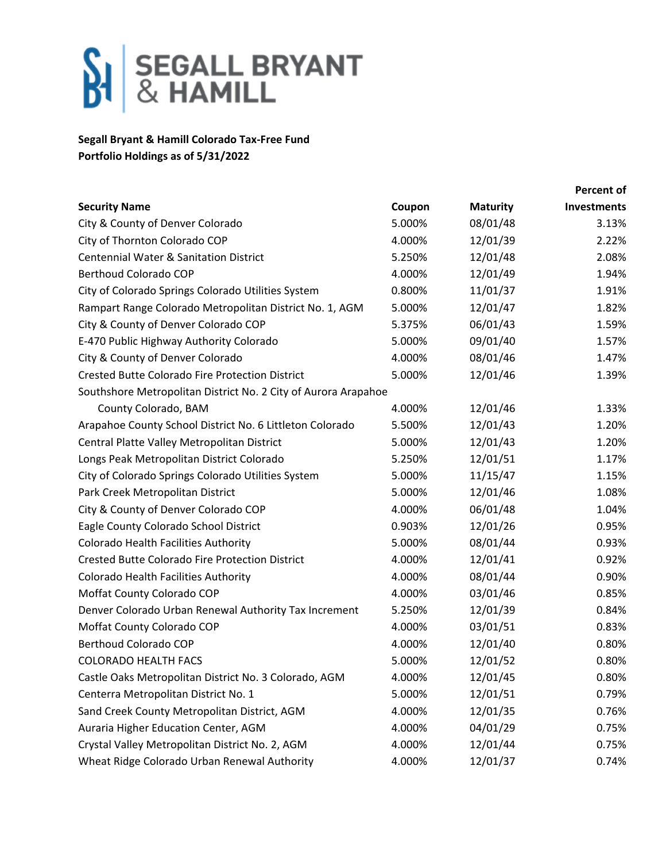

## **Segall Bryant & Hamill Colorado Tax‐Free Fund Portfolio Holdings as of 5/31/2022**

|                                                                |        |                 | <b>Percent of</b> |
|----------------------------------------------------------------|--------|-----------------|-------------------|
| <b>Security Name</b>                                           | Coupon | <b>Maturity</b> | Investments       |
| City & County of Denver Colorado                               | 5.000% | 08/01/48        | 3.13%             |
| City of Thornton Colorado COP                                  | 4.000% | 12/01/39        | 2.22%             |
| <b>Centennial Water &amp; Sanitation District</b>              | 5.250% | 12/01/48        | 2.08%             |
| <b>Berthoud Colorado COP</b>                                   | 4.000% | 12/01/49        | 1.94%             |
| City of Colorado Springs Colorado Utilities System             | 0.800% | 11/01/37        | 1.91%             |
| Rampart Range Colorado Metropolitan District No. 1, AGM        | 5.000% | 12/01/47        | 1.82%             |
| City & County of Denver Colorado COP                           | 5.375% | 06/01/43        | 1.59%             |
| E-470 Public Highway Authority Colorado                        | 5.000% | 09/01/40        | 1.57%             |
| City & County of Denver Colorado                               | 4.000% | 08/01/46        | 1.47%             |
| <b>Crested Butte Colorado Fire Protection District</b>         | 5.000% | 12/01/46        | 1.39%             |
| Southshore Metropolitan District No. 2 City of Aurora Arapahoe |        |                 |                   |
| County Colorado, BAM                                           | 4.000% | 12/01/46        | 1.33%             |
| Arapahoe County School District No. 6 Littleton Colorado       | 5.500% | 12/01/43        | 1.20%             |
| Central Platte Valley Metropolitan District                    | 5.000% | 12/01/43        | 1.20%             |
| Longs Peak Metropolitan District Colorado                      | 5.250% | 12/01/51        | 1.17%             |
| City of Colorado Springs Colorado Utilities System             | 5.000% | 11/15/47        | 1.15%             |
| Park Creek Metropolitan District                               | 5.000% | 12/01/46        | 1.08%             |
| City & County of Denver Colorado COP                           | 4.000% | 06/01/48        | 1.04%             |
| Eagle County Colorado School District                          | 0.903% | 12/01/26        | 0.95%             |
| Colorado Health Facilities Authority                           | 5.000% | 08/01/44        | 0.93%             |
| <b>Crested Butte Colorado Fire Protection District</b>         | 4.000% | 12/01/41        | 0.92%             |
| Colorado Health Facilities Authority                           | 4.000% | 08/01/44        | 0.90%             |
| Moffat County Colorado COP                                     | 4.000% | 03/01/46        | 0.85%             |
| Denver Colorado Urban Renewal Authority Tax Increment          | 5.250% | 12/01/39        | 0.84%             |
| Moffat County Colorado COP                                     | 4.000% | 03/01/51        | 0.83%             |
| <b>Berthoud Colorado COP</b>                                   | 4.000% | 12/01/40        | 0.80%             |
| <b>COLORADO HEALTH FACS</b>                                    | 5.000% | 12/01/52        | 0.80%             |
| Castle Oaks Metropolitan District No. 3 Colorado, AGM          | 4.000% | 12/01/45        | 0.80%             |
| Centerra Metropolitan District No. 1                           | 5.000% | 12/01/51        | 0.79%             |
| Sand Creek County Metropolitan District, AGM                   | 4.000% | 12/01/35        | 0.76%             |
| Auraria Higher Education Center, AGM                           | 4.000% | 04/01/29        | 0.75%             |
| Crystal Valley Metropolitan District No. 2, AGM                | 4.000% | 12/01/44        | 0.75%             |
| Wheat Ridge Colorado Urban Renewal Authority                   | 4.000% | 12/01/37        | 0.74%             |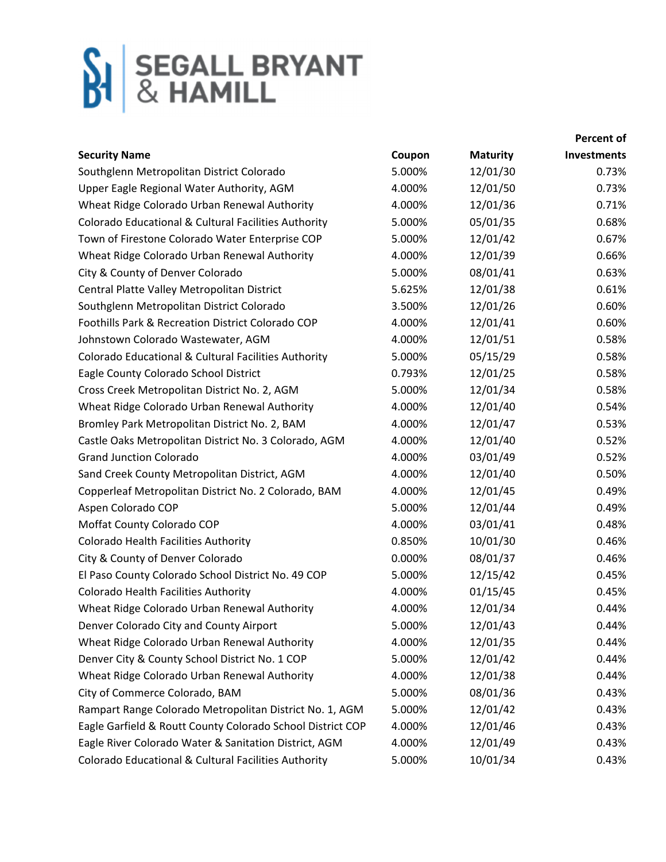|                                                            |        |                 | <b>Percent of</b> |
|------------------------------------------------------------|--------|-----------------|-------------------|
| <b>Security Name</b>                                       | Coupon | <b>Maturity</b> | Investments       |
| Southglenn Metropolitan District Colorado                  | 5.000% | 12/01/30        | 0.73%             |
| Upper Eagle Regional Water Authority, AGM                  | 4.000% | 12/01/50        | 0.73%             |
| Wheat Ridge Colorado Urban Renewal Authority               | 4.000% | 12/01/36        | 0.71%             |
| Colorado Educational & Cultural Facilities Authority       | 5.000% | 05/01/35        | 0.68%             |
| Town of Firestone Colorado Water Enterprise COP            | 5.000% | 12/01/42        | 0.67%             |
| Wheat Ridge Colorado Urban Renewal Authority               | 4.000% | 12/01/39        | 0.66%             |
| City & County of Denver Colorado                           | 5.000% | 08/01/41        | 0.63%             |
| Central Platte Valley Metropolitan District                | 5.625% | 12/01/38        | 0.61%             |
| Southglenn Metropolitan District Colorado                  | 3.500% | 12/01/26        | 0.60%             |
| Foothills Park & Recreation District Colorado COP          | 4.000% | 12/01/41        | 0.60%             |
| Johnstown Colorado Wastewater, AGM                         | 4.000% | 12/01/51        | 0.58%             |
| Colorado Educational & Cultural Facilities Authority       | 5.000% | 05/15/29        | 0.58%             |
| Eagle County Colorado School District                      | 0.793% | 12/01/25        | 0.58%             |
| Cross Creek Metropolitan District No. 2, AGM               | 5.000% | 12/01/34        | 0.58%             |
| Wheat Ridge Colorado Urban Renewal Authority               | 4.000% | 12/01/40        | 0.54%             |
| Bromley Park Metropolitan District No. 2, BAM              | 4.000% | 12/01/47        | 0.53%             |
| Castle Oaks Metropolitan District No. 3 Colorado, AGM      | 4.000% | 12/01/40        | 0.52%             |
| <b>Grand Junction Colorado</b>                             | 4.000% | 03/01/49        | 0.52%             |
| Sand Creek County Metropolitan District, AGM               | 4.000% | 12/01/40        | 0.50%             |
| Copperleaf Metropolitan District No. 2 Colorado, BAM       | 4.000% | 12/01/45        | 0.49%             |
| Aspen Colorado COP                                         | 5.000% | 12/01/44        | 0.49%             |
| Moffat County Colorado COP                                 | 4.000% | 03/01/41        | 0.48%             |
| Colorado Health Facilities Authority                       | 0.850% | 10/01/30        | 0.46%             |
| City & County of Denver Colorado                           | 0.000% | 08/01/37        | 0.46%             |
| El Paso County Colorado School District No. 49 COP         | 5.000% | 12/15/42        | 0.45%             |
| Colorado Health Facilities Authority                       | 4.000% | 01/15/45        | 0.45%             |
| Wheat Ridge Colorado Urban Renewal Authority               | 4.000% | 12/01/34        | 0.44%             |
| Denver Colorado City and County Airport                    | 5.000% | 12/01/43        | 0.44%             |
| Wheat Ridge Colorado Urban Renewal Authority               | 4.000% | 12/01/35        | 0.44%             |
| Denver City & County School District No. 1 COP             | 5.000% | 12/01/42        | 0.44%             |
| Wheat Ridge Colorado Urban Renewal Authority               | 4.000% | 12/01/38        | 0.44%             |
| City of Commerce Colorado, BAM                             | 5.000% | 08/01/36        | 0.43%             |
| Rampart Range Colorado Metropolitan District No. 1, AGM    | 5.000% | 12/01/42        | 0.43%             |
| Eagle Garfield & Routt County Colorado School District COP | 4.000% | 12/01/46        | 0.43%             |
| Eagle River Colorado Water & Sanitation District, AGM      | 4.000% | 12/01/49        | 0.43%             |
| Colorado Educational & Cultural Facilities Authority       | 5.000% | 10/01/34        | 0.43%             |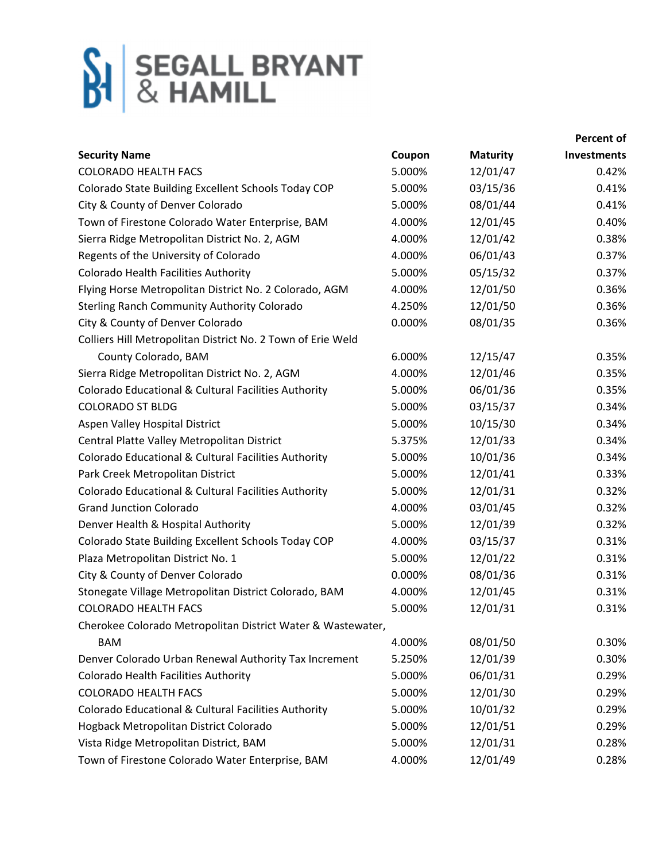|                                                             |        |                 | Percent of         |
|-------------------------------------------------------------|--------|-----------------|--------------------|
| <b>Security Name</b>                                        | Coupon | <b>Maturity</b> | <b>Investments</b> |
| <b>COLORADO HEALTH FACS</b>                                 | 5.000% | 12/01/47        | 0.42%              |
| Colorado State Building Excellent Schools Today COP         | 5.000% | 03/15/36        | 0.41%              |
| City & County of Denver Colorado                            | 5.000% | 08/01/44        | 0.41%              |
| Town of Firestone Colorado Water Enterprise, BAM            | 4.000% | 12/01/45        | 0.40%              |
| Sierra Ridge Metropolitan District No. 2, AGM               | 4.000% | 12/01/42        | 0.38%              |
| Regents of the University of Colorado                       | 4.000% | 06/01/43        | 0.37%              |
| Colorado Health Facilities Authority                        | 5.000% | 05/15/32        | 0.37%              |
| Flying Horse Metropolitan District No. 2 Colorado, AGM      | 4.000% | 12/01/50        | 0.36%              |
| <b>Sterling Ranch Community Authority Colorado</b>          | 4.250% | 12/01/50        | 0.36%              |
| City & County of Denver Colorado                            | 0.000% | 08/01/35        | 0.36%              |
| Colliers Hill Metropolitan District No. 2 Town of Erie Weld |        |                 |                    |
| County Colorado, BAM                                        | 6.000% | 12/15/47        | 0.35%              |
| Sierra Ridge Metropolitan District No. 2, AGM               | 4.000% | 12/01/46        | 0.35%              |
| Colorado Educational & Cultural Facilities Authority        | 5.000% | 06/01/36        | 0.35%              |
| <b>COLORADO ST BLDG</b>                                     | 5.000% | 03/15/37        | 0.34%              |
| Aspen Valley Hospital District                              | 5.000% | 10/15/30        | 0.34%              |
| Central Platte Valley Metropolitan District                 | 5.375% | 12/01/33        | 0.34%              |
| Colorado Educational & Cultural Facilities Authority        | 5.000% | 10/01/36        | 0.34%              |
| Park Creek Metropolitan District                            | 5.000% | 12/01/41        | 0.33%              |
| Colorado Educational & Cultural Facilities Authority        | 5.000% | 12/01/31        | 0.32%              |
| <b>Grand Junction Colorado</b>                              | 4.000% | 03/01/45        | 0.32%              |
| Denver Health & Hospital Authority                          | 5.000% | 12/01/39        | 0.32%              |
| Colorado State Building Excellent Schools Today COP         | 4.000% | 03/15/37        | 0.31%              |
| Plaza Metropolitan District No. 1                           | 5.000% | 12/01/22        | 0.31%              |
| City & County of Denver Colorado                            | 0.000% | 08/01/36        | 0.31%              |
| Stonegate Village Metropolitan District Colorado, BAM       | 4.000% | 12/01/45        | 0.31%              |
| <b>COLORADO HEALTH FACS</b>                                 | 5.000% | 12/01/31        | 0.31%              |
| Cherokee Colorado Metropolitan District Water & Wastewater, |        |                 |                    |
| <b>BAM</b>                                                  | 4.000% | 08/01/50        | 0.30%              |
| Denver Colorado Urban Renewal Authority Tax Increment       | 5.250% | 12/01/39        | 0.30%              |
| Colorado Health Facilities Authority                        | 5.000% | 06/01/31        | 0.29%              |
| <b>COLORADO HEALTH FACS</b>                                 | 5.000% | 12/01/30        | 0.29%              |
| Colorado Educational & Cultural Facilities Authority        | 5.000% | 10/01/32        | 0.29%              |
| Hogback Metropolitan District Colorado                      | 5.000% | 12/01/51        | 0.29%              |
| Vista Ridge Metropolitan District, BAM                      | 5.000% | 12/01/31        | 0.28%              |
| Town of Firestone Colorado Water Enterprise, BAM            | 4.000% | 12/01/49        | 0.28%              |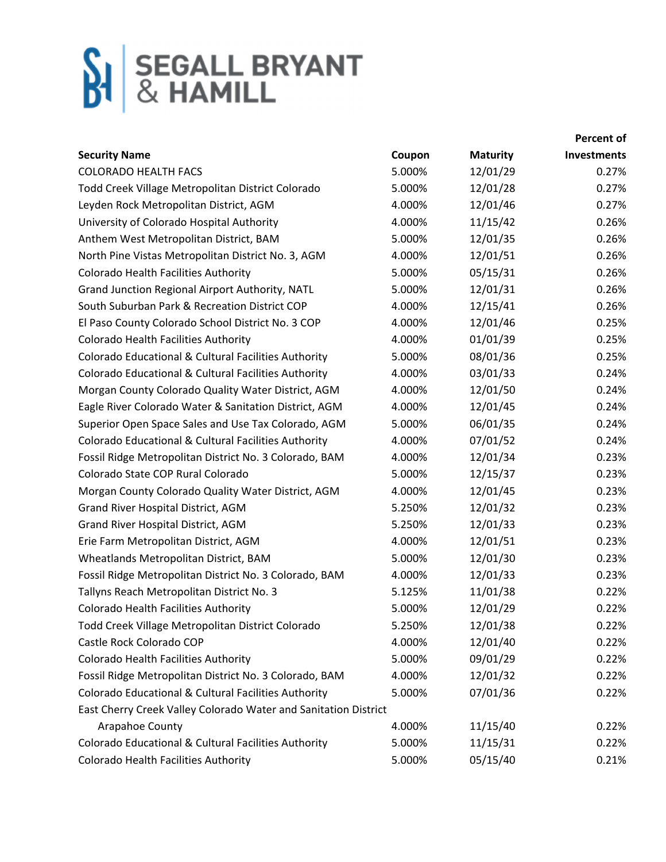|                                                                 |        |                 | Percent of  |
|-----------------------------------------------------------------|--------|-----------------|-------------|
| <b>Security Name</b>                                            | Coupon | <b>Maturity</b> | Investments |
| <b>COLORADO HEALTH FACS</b>                                     | 5.000% | 12/01/29        | 0.27%       |
| Todd Creek Village Metropolitan District Colorado               | 5.000% | 12/01/28        | 0.27%       |
| Leyden Rock Metropolitan District, AGM                          | 4.000% | 12/01/46        | 0.27%       |
| University of Colorado Hospital Authority                       | 4.000% | 11/15/42        | 0.26%       |
| Anthem West Metropolitan District, BAM                          | 5.000% | 12/01/35        | 0.26%       |
| North Pine Vistas Metropolitan District No. 3, AGM              | 4.000% | 12/01/51        | 0.26%       |
| Colorado Health Facilities Authority                            | 5.000% | 05/15/31        | 0.26%       |
| Grand Junction Regional Airport Authority, NATL                 | 5.000% | 12/01/31        | 0.26%       |
| South Suburban Park & Recreation District COP                   | 4.000% | 12/15/41        | 0.26%       |
| El Paso County Colorado School District No. 3 COP               | 4.000% | 12/01/46        | 0.25%       |
| Colorado Health Facilities Authority                            | 4.000% | 01/01/39        | 0.25%       |
| Colorado Educational & Cultural Facilities Authority            | 5.000% | 08/01/36        | 0.25%       |
| Colorado Educational & Cultural Facilities Authority            | 4.000% | 03/01/33        | 0.24%       |
| Morgan County Colorado Quality Water District, AGM              | 4.000% | 12/01/50        | 0.24%       |
| Eagle River Colorado Water & Sanitation District, AGM           | 4.000% | 12/01/45        | 0.24%       |
| Superior Open Space Sales and Use Tax Colorado, AGM             | 5.000% | 06/01/35        | 0.24%       |
| Colorado Educational & Cultural Facilities Authority            | 4.000% | 07/01/52        | 0.24%       |
| Fossil Ridge Metropolitan District No. 3 Colorado, BAM          | 4.000% | 12/01/34        | 0.23%       |
| Colorado State COP Rural Colorado                               | 5.000% | 12/15/37        | 0.23%       |
| Morgan County Colorado Quality Water District, AGM              | 4.000% | 12/01/45        | 0.23%       |
| Grand River Hospital District, AGM                              | 5.250% | 12/01/32        | 0.23%       |
| Grand River Hospital District, AGM                              | 5.250% | 12/01/33        | 0.23%       |
| Erie Farm Metropolitan District, AGM                            | 4.000% | 12/01/51        | 0.23%       |
| Wheatlands Metropolitan District, BAM                           | 5.000% | 12/01/30        | 0.23%       |
| Fossil Ridge Metropolitan District No. 3 Colorado, BAM          | 4.000% | 12/01/33        | 0.23%       |
| Tallyns Reach Metropolitan District No. 3                       | 5.125% | 11/01/38        | 0.22%       |
| Colorado Health Facilities Authority                            | 5.000% | 12/01/29        | 0.22%       |
| Todd Creek Village Metropolitan District Colorado               | 5.250% | 12/01/38        | 0.22%       |
| Castle Rock Colorado COP                                        | 4.000% | 12/01/40        | 0.22%       |
| Colorado Health Facilities Authority                            | 5.000% | 09/01/29        | 0.22%       |
| Fossil Ridge Metropolitan District No. 3 Colorado, BAM          | 4.000% | 12/01/32        | 0.22%       |
| Colorado Educational & Cultural Facilities Authority            | 5.000% | 07/01/36        | 0.22%       |
| East Cherry Creek Valley Colorado Water and Sanitation District |        |                 |             |
| Arapahoe County                                                 | 4.000% | 11/15/40        | 0.22%       |
| Colorado Educational & Cultural Facilities Authority            | 5.000% | 11/15/31        | 0.22%       |
| Colorado Health Facilities Authority                            | 5.000% | 05/15/40        | 0.21%       |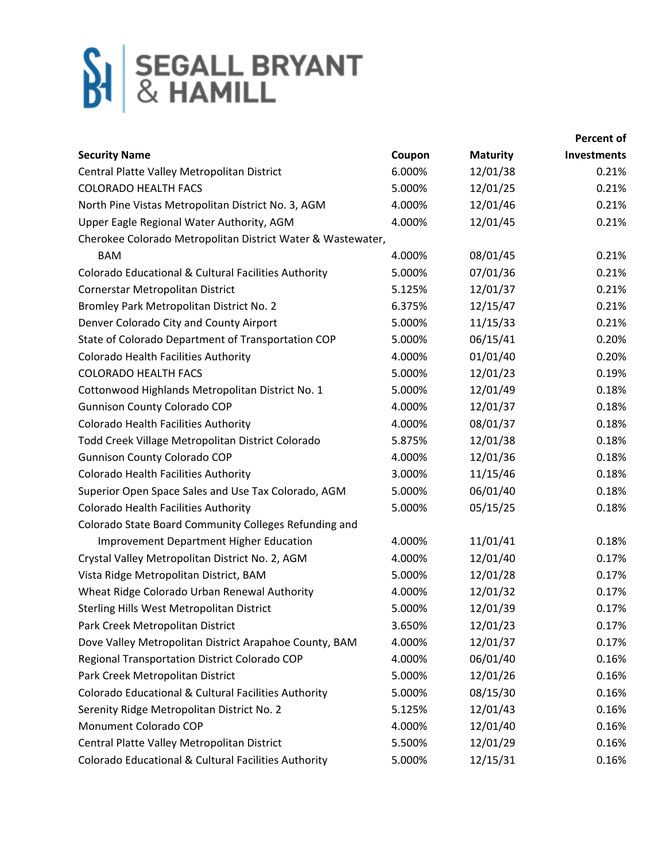|                                                             |        |                 | Percent of         |
|-------------------------------------------------------------|--------|-----------------|--------------------|
| <b>Security Name</b>                                        | Coupon | <b>Maturity</b> | <b>Investments</b> |
| Central Platte Valley Metropolitan District                 | 6.000% | 12/01/38        | 0.21%              |
| <b>COLORADO HEALTH FACS</b>                                 | 5.000% | 12/01/25        | 0.21%              |
| North Pine Vistas Metropolitan District No. 3, AGM          | 4.000% | 12/01/46        | 0.21%              |
| Upper Eagle Regional Water Authority, AGM                   | 4.000% | 12/01/45        | 0.21%              |
| Cherokee Colorado Metropolitan District Water & Wastewater, |        |                 |                    |
| <b>BAM</b>                                                  | 4.000% | 08/01/45        | 0.21%              |
| Colorado Educational & Cultural Facilities Authority        | 5.000% | 07/01/36        | 0.21%              |
| Cornerstar Metropolitan District                            | 5.125% | 12/01/37        | 0.21%              |
| Bromley Park Metropolitan District No. 2                    | 6.375% | 12/15/47        | 0.21%              |
| Denver Colorado City and County Airport                     | 5.000% | 11/15/33        | 0.21%              |
| State of Colorado Department of Transportation COP          | 5.000% | 06/15/41        | 0.20%              |
| <b>Colorado Health Facilities Authority</b>                 | 4.000% | 01/01/40        | 0.20%              |
| <b>COLORADO HEALTH FACS</b>                                 | 5.000% | 12/01/23        | 0.19%              |
| Cottonwood Highlands Metropolitan District No. 1            | 5.000% | 12/01/49        | 0.18%              |
| <b>Gunnison County Colorado COP</b>                         | 4.000% | 12/01/37        | 0.18%              |
| Colorado Health Facilities Authority                        | 4.000% | 08/01/37        | 0.18%              |
| Todd Creek Village Metropolitan District Colorado           | 5.875% | 12/01/38        | 0.18%              |
| Gunnison County Colorado COP                                | 4.000% | 12/01/36        | 0.18%              |
| Colorado Health Facilities Authority                        | 3.000% | 11/15/46        | 0.18%              |
| Superior Open Space Sales and Use Tax Colorado, AGM         | 5.000% | 06/01/40        | 0.18%              |
| Colorado Health Facilities Authority                        | 5.000% | 05/15/25        | 0.18%              |
| Colorado State Board Community Colleges Refunding and       |        |                 |                    |
| Improvement Department Higher Education                     | 4.000% | 11/01/41        | 0.18%              |
| Crystal Valley Metropolitan District No. 2, AGM             | 4.000% | 12/01/40        | 0.17%              |
| Vista Ridge Metropolitan District, BAM                      | 5.000% | 12/01/28        | 0.17%              |
| Wheat Ridge Colorado Urban Renewal Authority                | 4.000% | 12/01/32        | 0.17%              |
| Sterling Hills West Metropolitan District                   | 5.000% | 12/01/39        | 0.17%              |
| Park Creek Metropolitan District                            | 3.650% | 12/01/23        | 0.17%              |
| Dove Valley Metropolitan District Arapahoe County, BAM      | 4.000% | 12/01/37        | 0.17%              |
| Regional Transportation District Colorado COP               | 4.000% | 06/01/40        | 0.16%              |
| Park Creek Metropolitan District                            | 5.000% | 12/01/26        | 0.16%              |
| Colorado Educational & Cultural Facilities Authority        | 5.000% | 08/15/30        | 0.16%              |
| Serenity Ridge Metropolitan District No. 2                  | 5.125% | 12/01/43        | 0.16%              |
| Monument Colorado COP                                       | 4.000% | 12/01/40        | 0.16%              |
| Central Platte Valley Metropolitan District                 | 5.500% | 12/01/29        | 0.16%              |
| Colorado Educational & Cultural Facilities Authority        | 5.000% | 12/15/31        | 0.16%              |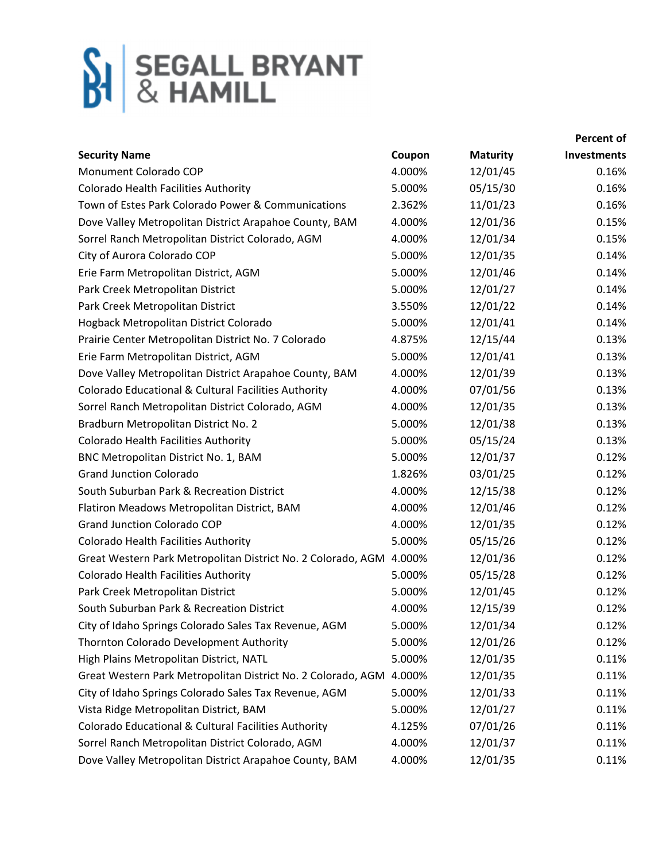|                                                              |        |                 | Percent of  |
|--------------------------------------------------------------|--------|-----------------|-------------|
| <b>Security Name</b>                                         | Coupon | <b>Maturity</b> | Investments |
| Monument Colorado COP                                        | 4.000% | 12/01/45        | 0.16%       |
| Colorado Health Facilities Authority                         | 5.000% | 05/15/30        | 0.16%       |
| Town of Estes Park Colorado Power & Communications           | 2.362% | 11/01/23        | 0.16%       |
| Dove Valley Metropolitan District Arapahoe County, BAM       | 4.000% | 12/01/36        | 0.15%       |
| Sorrel Ranch Metropolitan District Colorado, AGM             | 4.000% | 12/01/34        | 0.15%       |
| City of Aurora Colorado COP                                  | 5.000% | 12/01/35        | 0.14%       |
| Erie Farm Metropolitan District, AGM                         | 5.000% | 12/01/46        | 0.14%       |
| Park Creek Metropolitan District                             | 5.000% | 12/01/27        | 0.14%       |
| Park Creek Metropolitan District                             | 3.550% | 12/01/22        | 0.14%       |
| Hogback Metropolitan District Colorado                       | 5.000% | 12/01/41        | 0.14%       |
| Prairie Center Metropolitan District No. 7 Colorado          | 4.875% | 12/15/44        | 0.13%       |
| Erie Farm Metropolitan District, AGM                         | 5.000% | 12/01/41        | 0.13%       |
| Dove Valley Metropolitan District Arapahoe County, BAM       | 4.000% | 12/01/39        | 0.13%       |
| Colorado Educational & Cultural Facilities Authority         | 4.000% | 07/01/56        | 0.13%       |
| Sorrel Ranch Metropolitan District Colorado, AGM             | 4.000% | 12/01/35        | 0.13%       |
| Bradburn Metropolitan District No. 2                         | 5.000% | 12/01/38        | 0.13%       |
| Colorado Health Facilities Authority                         | 5.000% | 05/15/24        | 0.13%       |
| BNC Metropolitan District No. 1, BAM                         | 5.000% | 12/01/37        | 0.12%       |
| <b>Grand Junction Colorado</b>                               | 1.826% | 03/01/25        | 0.12%       |
| South Suburban Park & Recreation District                    | 4.000% | 12/15/38        | 0.12%       |
| Flatiron Meadows Metropolitan District, BAM                  | 4.000% | 12/01/46        | 0.12%       |
| <b>Grand Junction Colorado COP</b>                           | 4.000% | 12/01/35        | 0.12%       |
| Colorado Health Facilities Authority                         | 5.000% | 05/15/26        | 0.12%       |
| Great Western Park Metropolitan District No. 2 Colorado, AGM | 4.000% | 12/01/36        | 0.12%       |
| <b>Colorado Health Facilities Authority</b>                  | 5.000% | 05/15/28        | 0.12%       |
| Park Creek Metropolitan District                             | 5.000% | 12/01/45        | 0.12%       |
| South Suburban Park & Recreation District                    | 4.000% | 12/15/39        | 0.12%       |
| City of Idaho Springs Colorado Sales Tax Revenue, AGM        | 5.000% | 12/01/34        | 0.12%       |
| Thornton Colorado Development Authority                      | 5.000% | 12/01/26        | 0.12%       |
| High Plains Metropolitan District, NATL                      | 5.000% | 12/01/35        | 0.11%       |
| Great Western Park Metropolitan District No. 2 Colorado, AGM | 4.000% | 12/01/35        | 0.11%       |
| City of Idaho Springs Colorado Sales Tax Revenue, AGM        | 5.000% | 12/01/33        | 0.11%       |
| Vista Ridge Metropolitan District, BAM                       | 5.000% | 12/01/27        | 0.11%       |
| Colorado Educational & Cultural Facilities Authority         | 4.125% | 07/01/26        | 0.11%       |
| Sorrel Ranch Metropolitan District Colorado, AGM             | 4.000% | 12/01/37        | 0.11%       |
| Dove Valley Metropolitan District Arapahoe County, BAM       | 4.000% | 12/01/35        | 0.11%       |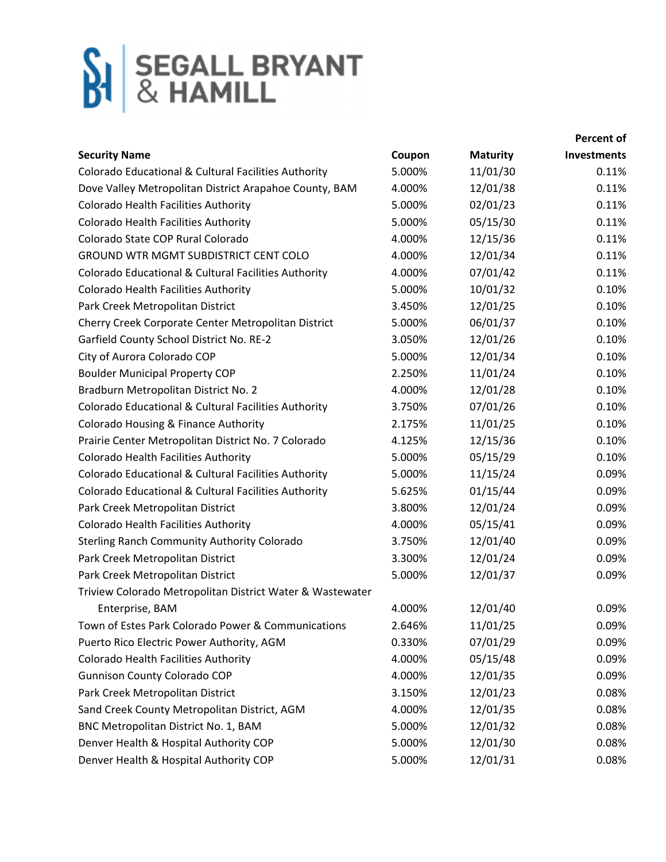|                                                           |        |                 | Percent of         |
|-----------------------------------------------------------|--------|-----------------|--------------------|
| <b>Security Name</b>                                      | Coupon | <b>Maturity</b> | <b>Investments</b> |
| Colorado Educational & Cultural Facilities Authority      | 5.000% | 11/01/30        | 0.11%              |
| Dove Valley Metropolitan District Arapahoe County, BAM    | 4.000% | 12/01/38        | 0.11%              |
| Colorado Health Facilities Authority                      | 5.000% | 02/01/23        | 0.11%              |
| <b>Colorado Health Facilities Authority</b>               | 5.000% | 05/15/30        | 0.11%              |
| Colorado State COP Rural Colorado                         | 4.000% | 12/15/36        | 0.11%              |
| <b>GROUND WTR MGMT SUBDISTRICT CENT COLO</b>              | 4.000% | 12/01/34        | 0.11%              |
| Colorado Educational & Cultural Facilities Authority      | 4.000% | 07/01/42        | 0.11%              |
| Colorado Health Facilities Authority                      | 5.000% | 10/01/32        | 0.10%              |
| Park Creek Metropolitan District                          | 3.450% | 12/01/25        | 0.10%              |
| Cherry Creek Corporate Center Metropolitan District       | 5.000% | 06/01/37        | 0.10%              |
| Garfield County School District No. RE-2                  | 3.050% | 12/01/26        | 0.10%              |
| City of Aurora Colorado COP                               | 5.000% | 12/01/34        | 0.10%              |
| <b>Boulder Municipal Property COP</b>                     | 2.250% | 11/01/24        | 0.10%              |
| Bradburn Metropolitan District No. 2                      | 4.000% | 12/01/28        | 0.10%              |
| Colorado Educational & Cultural Facilities Authority      | 3.750% | 07/01/26        | 0.10%              |
| Colorado Housing & Finance Authority                      | 2.175% | 11/01/25        | 0.10%              |
| Prairie Center Metropolitan District No. 7 Colorado       | 4.125% | 12/15/36        | 0.10%              |
| <b>Colorado Health Facilities Authority</b>               | 5.000% | 05/15/29        | 0.10%              |
| Colorado Educational & Cultural Facilities Authority      | 5.000% | 11/15/24        | 0.09%              |
| Colorado Educational & Cultural Facilities Authority      | 5.625% | 01/15/44        | 0.09%              |
| Park Creek Metropolitan District                          | 3.800% | 12/01/24        | 0.09%              |
| Colorado Health Facilities Authority                      | 4.000% | 05/15/41        | 0.09%              |
| <b>Sterling Ranch Community Authority Colorado</b>        | 3.750% | 12/01/40        | 0.09%              |
| Park Creek Metropolitan District                          | 3.300% | 12/01/24        | 0.09%              |
| Park Creek Metropolitan District                          | 5.000% | 12/01/37        | 0.09%              |
| Triview Colorado Metropolitan District Water & Wastewater |        |                 |                    |
| Enterprise, BAM                                           | 4.000% | 12/01/40        | 0.09%              |
| Town of Estes Park Colorado Power & Communications        | 2.646% | 11/01/25        | 0.09%              |
| Puerto Rico Electric Power Authority, AGM                 | 0.330% | 07/01/29        | 0.09%              |
| Colorado Health Facilities Authority                      | 4.000% | 05/15/48        | 0.09%              |
| <b>Gunnison County Colorado COP</b>                       | 4.000% | 12/01/35        | 0.09%              |
| Park Creek Metropolitan District                          | 3.150% | 12/01/23        | 0.08%              |
| Sand Creek County Metropolitan District, AGM              | 4.000% | 12/01/35        | 0.08%              |
| BNC Metropolitan District No. 1, BAM                      | 5.000% | 12/01/32        | 0.08%              |
| Denver Health & Hospital Authority COP                    | 5.000% | 12/01/30        | 0.08%              |
| Denver Health & Hospital Authority COP                    | 5.000% | 12/01/31        | 0.08%              |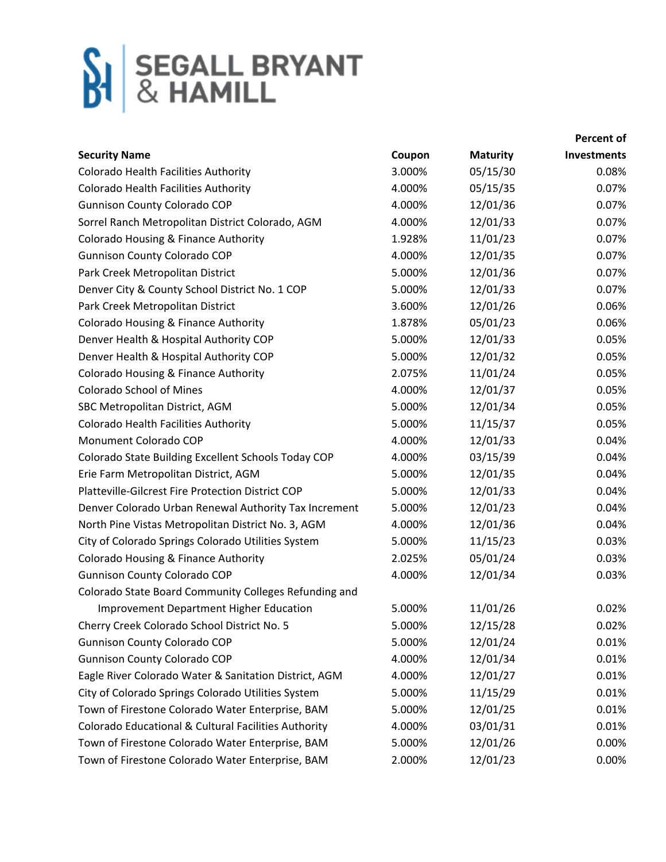|                                                       |        |                 | Percent of  |
|-------------------------------------------------------|--------|-----------------|-------------|
| <b>Security Name</b>                                  | Coupon | <b>Maturity</b> | Investments |
| Colorado Health Facilities Authority                  | 3.000% | 05/15/30        | 0.08%       |
| Colorado Health Facilities Authority                  | 4.000% | 05/15/35        | 0.07%       |
| <b>Gunnison County Colorado COP</b>                   | 4.000% | 12/01/36        | 0.07%       |
| Sorrel Ranch Metropolitan District Colorado, AGM      | 4.000% | 12/01/33        | 0.07%       |
| Colorado Housing & Finance Authority                  | 1.928% | 11/01/23        | 0.07%       |
| <b>Gunnison County Colorado COP</b>                   | 4.000% | 12/01/35        | 0.07%       |
| Park Creek Metropolitan District                      | 5.000% | 12/01/36        | 0.07%       |
| Denver City & County School District No. 1 COP        | 5.000% | 12/01/33        | 0.07%       |
| Park Creek Metropolitan District                      | 3.600% | 12/01/26        | 0.06%       |
| Colorado Housing & Finance Authority                  | 1.878% | 05/01/23        | 0.06%       |
| Denver Health & Hospital Authority COP                | 5.000% | 12/01/33        | 0.05%       |
| Denver Health & Hospital Authority COP                | 5.000% | 12/01/32        | 0.05%       |
| Colorado Housing & Finance Authority                  | 2.075% | 11/01/24        | 0.05%       |
| <b>Colorado School of Mines</b>                       | 4.000% | 12/01/37        | 0.05%       |
| SBC Metropolitan District, AGM                        | 5.000% | 12/01/34        | 0.05%       |
| Colorado Health Facilities Authority                  | 5.000% | 11/15/37        | 0.05%       |
| Monument Colorado COP                                 | 4.000% | 12/01/33        | 0.04%       |
| Colorado State Building Excellent Schools Today COP   | 4.000% | 03/15/39        | 0.04%       |
| Erie Farm Metropolitan District, AGM                  | 5.000% | 12/01/35        | 0.04%       |
| Platteville-Gilcrest Fire Protection District COP     | 5.000% | 12/01/33        | 0.04%       |
| Denver Colorado Urban Renewal Authority Tax Increment | 5.000% | 12/01/23        | 0.04%       |
| North Pine Vistas Metropolitan District No. 3, AGM    | 4.000% | 12/01/36        | 0.04%       |
| City of Colorado Springs Colorado Utilities System    | 5.000% | 11/15/23        | 0.03%       |
| Colorado Housing & Finance Authority                  | 2.025% | 05/01/24        | 0.03%       |
| <b>Gunnison County Colorado COP</b>                   | 4.000% | 12/01/34        | 0.03%       |
| Colorado State Board Community Colleges Refunding and |        |                 |             |
| <b>Improvement Department Higher Education</b>        | 5.000% | 11/01/26        | 0.02%       |
| Cherry Creek Colorado School District No. 5           | 5.000% | 12/15/28        | 0.02%       |
| <b>Gunnison County Colorado COP</b>                   | 5.000% | 12/01/24        | 0.01%       |
| <b>Gunnison County Colorado COP</b>                   | 4.000% | 12/01/34        | 0.01%       |
| Eagle River Colorado Water & Sanitation District, AGM | 4.000% | 12/01/27        | 0.01%       |
| City of Colorado Springs Colorado Utilities System    | 5.000% | 11/15/29        | 0.01%       |
| Town of Firestone Colorado Water Enterprise, BAM      | 5.000% | 12/01/25        | 0.01%       |
| Colorado Educational & Cultural Facilities Authority  | 4.000% | 03/01/31        | 0.01%       |
| Town of Firestone Colorado Water Enterprise, BAM      | 5.000% | 12/01/26        | 0.00%       |
| Town of Firestone Colorado Water Enterprise, BAM      | 2.000% | 12/01/23        | 0.00%       |